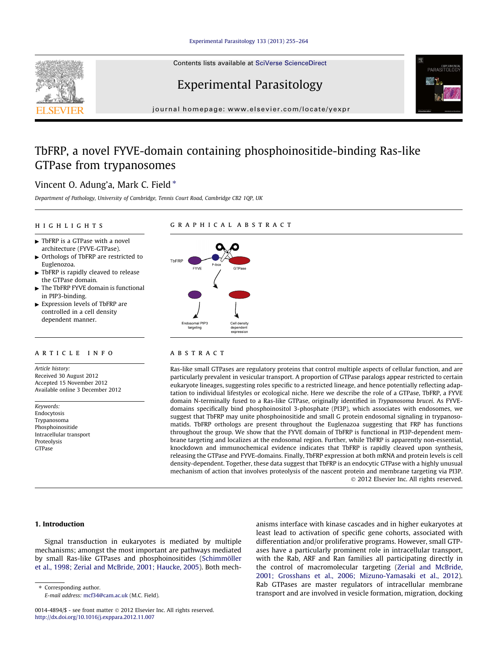## [Experimental Parasitology 133 \(2013\) 255–264](http://dx.doi.org/10.1016/j.exppara.2012.11.007)

Contents lists available at [SciVerse ScienceDirect](http://www.sciencedirect.com/science/journal/00144894)

# Experimental Parasitology

journal homepage: [www.elsevier.com/locate/yexpr](http://www.elsevier.com/locate/yexpr)

## TbFRP, a novel FYVE-domain containing phosphoinositide-binding Ras-like GTPase from trypanosomes

## Vincent O. Adung'a, Mark C. Field  $*$

Department of Pathology, University of Cambridge, Tennis Court Road, Cambridge CB2 1QP, UK

## highlights

## graphical abstract

- $\blacktriangleright$  TbFRP is a GTPase with a novel architecture (FYVE-GTPase).
- Orthologs of TbFRP are restricted to Euglenozoa.
- $\blacktriangleright$  TbFRP is rapidly cleaved to release the GTPase domain.
- The TbFRP FYVE domain is functional in PIP3-binding.
- $\blacktriangleright$  Expression levels of TbFRP are controlled in a cell density dependent manner.

## article info

Article history: Received 30 August 2012 Accepted 15 November 2012 Available online 3 December 2012

Keywords: Endocytosis Trypanosoma Phosphoinositide Intracellular transport Proteolysis **GTPase** 



## **ABSTRACT**

Ras-like small GTPases are regulatory proteins that control multiple aspects of cellular function, and are particularly prevalent in vesicular transport. A proportion of GTPase paralogs appear restricted to certain eukaryote lineages, suggesting roles specific to a restricted lineage, and hence potentially reflecting adaptation to individual lifestyles or ecological niche. Here we describe the role of a GTPase, TbFRP, a FYVE domain N-terminally fused to a Ras-like GTPase, originally identified in Trypanosoma brucei. As FYVEdomains specifically bind phosphoinositol 3-phosphate (PI3P), which associates with endosomes, we suggest that TbFRP may unite phosphoinositide and small G protein endosomal signaling in trypanosomatids. TbFRP orthologs are present throughout the Euglenazoa suggesting that FRP has functions throughout the group. We show that the FYVE domain of TbFRP is functional in PI3P-dependent membrane targeting and localizes at the endosomal region. Further, while TbFRP is apparently non-essential, knockdown and immunochemical evidence indicates that TbFRP is rapidly cleaved upon synthesis, releasing the GTPase and FYVE-domains. Finally, TbFRP expression at both mRNA and protein levels is cell density-dependent. Together, these data suggest that TbFRP is an endocytic GTPase with a highly unusual mechanism of action that involves proteolysis of the nascent protein and membrane targeting via PI3P. - 2012 Elsevier Inc. All rights reserved.

## 1. Introduction

Signal transduction in eukaryotes is mediated by multiple mechanisms; amongst the most important are pathways mediated by small Ras-like GTPases and phosphoinositides ([Schimmöller](#page-9-0) [et al., 1998; Zerial and McBride, 2001; Haucke, 2005](#page-9-0)). Both mech-

\* Corresponding author. E-mail address: [mcf34@cam.ac.uk](mailto:mcf34@cam.ac.uk) (M.C. Field). anisms interface with kinase cascades and in higher eukaryotes at least lead to activation of specific gene cohorts, associated with differentiation and/or proliferative programs. However, small GTPases have a particularly prominent role in intracellular transport, with the Rab, ARF and Ran families all participating directly in the control of macromolecular targeting [\(Zerial and McBride,](#page-9-0) [2001; Grosshans et al., 2006; Mizuno-Yamasaki et al., 2012\)](#page-9-0). Rab GTPases are master regulators of intracellular membrane transport and are involved in vesicle formation, migration, docking

PARASITOL

<sup>0014-4894/\$ -</sup> see front matter © 2012 Elsevier Inc. All rights reserved. <http://dx.doi.org/10.1016/j.exppara.2012.11.007>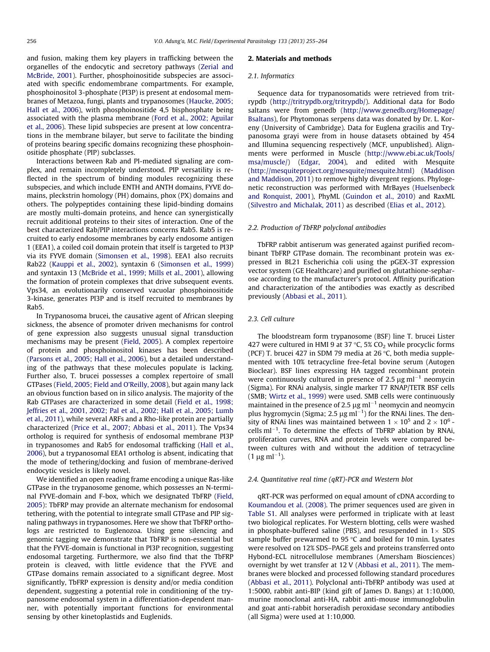and fusion, making them key players in trafficking between the organelles of the endocytic and secretory pathways [\(Zerial and](#page-9-0) [McBride, 2001](#page-9-0)). Further, phosphoinositide subspecies are associated with specific endomembrane compartments. For example, phosphoinositol 3-phosphate (PI3P) is present at endosomal membranes of Metazoa, fungi, plants and trypanosomes ([Haucke, 2005;](#page-8-0) [Hall et al., 2006\)](#page-8-0), with phosphoinositide 4,5 bisphosphate being associated with the plasma membrane ([Ford et al., 2002; Aguilar](#page-8-0) [et al., 2006](#page-8-0)). These lipid subspecies are present at low concentrations in the membrane bilayer, but serve to facilitate the binding of proteins bearing specific domains recognizing these phosphoinositide phosphate (PIP) subclasses.

Interactions between Rab and PI-mediated signaling are complex, and remain incompletely understood. PIP versatility is reflected in the spectrum of binding modules recognizing these subspecies, and which include ENTH and ANTH domains, FYVE domains, pleckstrin homology (PH) domains, phox (PX) domains and others. The polypeptides containing these lipid-binding domains are mostly multi-domain proteins, and hence can synergistically recruit additional proteins to their sites of interaction. One of the best characterized Rab/PIP interactions concerns Rab5. Rab5 is recruited to early endosome membranes by early endosome antigen 1 (EEA1), a coiled coil domain protein that itself is targeted to PI3P via its FYVE domain [\(Simonsen et al., 1998](#page-9-0)). EEA1 also recruits Rab22 [\(Kauppi et al., 2002\)](#page-8-0), syntaxin 6 [\(Simonsen et al., 1999\)](#page-9-0) and syntaxin 13 [\(McBride et al., 1999; Mills et al., 2001\)](#page-8-0), allowing the formation of protein complexes that drive subsequent events. Vps34, an evolutionarily conserved vacuolar phosphoinositide 3-kinase, generates PI3P and is itself recruited to membranes by Rab5.

In Trypanosoma brucei, the causative agent of African sleeping sickness, the absence of promoter driven mechanisms for control of gene expression also suggests unusual signal transduction mechanisms may be present ([Field, 2005](#page-8-0)). A complex repertoire of protein and phosphoinositol kinases has been described ([Parsons et al., 2005; Hall et al., 2006\)](#page-9-0), but a detailed understanding of the pathways that these molecules populate is lacking. Further also, T. brucei possesses a complex repertoire of small GTPases [\(Field, 2005; Field and O'Reilly, 2008\)](#page-8-0), but again many lack an obvious function based on in silico analysis. The majority of the Rab GTPases are characterized in some detail ([Field et al., 1998;](#page-8-0) [Jeffries et al., 2001, 2002; Pal et al., 2002; Hall et al., 2005; Lumb](#page-8-0) [et al., 2011\)](#page-8-0), while several ARFs and a Rho-like protein are partially characterized [\(Price et al., 2007; Abbasi et al., 2011\)](#page-9-0). The Vps34 ortholog is required for synthesis of endosomal membrane PI3P in trypanosomes and Rab5 for endosomal trafficking ([Hall et al.,](#page-8-0) [2006\)](#page-8-0), but a trypanosomal EEA1 ortholog is absent, indicating that the mode of tethering/docking and fusion of membrane-derived endocytic vesicles is likely novel.

We identified an open reading frame encoding a unique Ras-like GTPase in the trypanosome genome, which possesses an N-terminal FYVE-domain and F-box, which we designated TbFRP ([Field,](#page-8-0) [2005\)](#page-8-0): TbFRP may provide an alternate mechanism for endosomal tethering, with the potential to integrate small GTPase and PIP signaling pathways in trypanosomes. Here we show that TbFRP orthologs are restricted to Euglenozoa. Using gene silencing and genomic tagging we demonstrate that TbFRP is non-essential but that the FYVE-domain is functional in PI3P recognition, suggesting endosomal targeting. Furthermore, we also find that the TbFRP protein is cleaved, with little evidence that the FYVE and GTPase domains remain associated to a significant degree. Most significantly, TbFRP expression is density and/or media condition dependent, suggesting a potential role in conditioning of the trypanosome endosomal system in a differentiation-dependent manner, with potentially important functions for environmental sensing by other kinetoplastids and Euglenids.

## 2. Materials and methods

#### 2.1. Informatics

Sequence data for trypanosomatids were retrieved from tritrypdb ([http://tritrypdb.org/tritrypdb/\)](http://tritrypdb.org/tritrypdb/). Additional data for Bodo saltans were from genedb [\(http://www.genedb.org/Homepage/](http://www.genedb.org/Homepage/Bsaltans) [Bsaltans\)](http://www.genedb.org/Homepage/Bsaltans), for Phytomonas serpens data was donated by Dr. L. Koreny (University of Cambridge). Data for Euglena gracilis and Trypanosoma grayi were from in house datasets obtained by 454 and Illumina sequencing respectively (MCF, unpublished). Alignments were performed in Muscle ([http://www.ebi.ac.uk/Tools/](http://www.ebi.ac.uk/Tools/msa/muscle/) [msa/muscle/\)](http://www.ebi.ac.uk/Tools/msa/muscle/) ([Edgar, 2004\)](#page-8-0), and edited with Mesquite ([http://mesquiteproject.org/mesquite/mesquite.html\)](http://mesquiteproject.org/mesquite/mesquite.html) ([Maddison](#page-8-0) [and Maddison, 2011](#page-8-0)) to remove highly divergent regions. Phylogenetic reconstruction was performed with MrBayes ([Huelsenbeck](#page-8-0) [and Ronquist, 2001](#page-8-0)), PhyML [\(Guindon et al., 2010\)](#page-8-0) and RaxML ([Silvestro and Michalak, 2011](#page-9-0)) as described [\(Elias et al., 2012\)](#page-8-0).

#### 2.2. Production of TbFRP polyclonal antibodies

TbFRP rabbit antiserum was generated against purified recombinant TbFRP GTPase domain. The recombinant protein was expressed in BL21 Escherichia coli using the pGEX-3T expression vector system (GE Healthcare) and purified on glutathione-sepharose according to the manufacturer's protocol. Affinity purification and characterization of the antibodies was exactly as described previously ([Abbasi et al., 2011\)](#page-8-0).

#### 2.3. Cell culture

The bloodstream form trypanosome (BSF) line T. brucei Lister 427 were cultured in HMI 9 at 37  $\degree$ C, 5% CO<sub>2</sub> while procyclic forms (PCF) T. brucei 427 in SDM 79 media at 26  $\degree$ C, both media supplemented with 10% tetracycline free-fetal bovine serum (Autogen Bioclear). BSF lines expressing HA tagged recombinant protein were continuously cultured in presence of 2.5  $\mu$ g ml<sup>-1</sup> neomycin (Sigma). For RNAi analysis, single marker T7 RNAP/TETR BSF cells (SMB; [Wirtz et al., 1999\)](#page-9-0) were used. SMB cells were continuously maintained in the presence of 2.5  $\mu$ g ml<sup>-1</sup> neomycin and neomycin plus hygromycin (Sigma; 2.5  $\mu$ g ml<sup>-1</sup>) for the RNAi lines. The density of RNAi lines was maintained between  $1 \times 10^5$  and  $2 \times 10^6$  cells  $ml^{-1}$ . To determine the effects of TbFRP ablation by RNAi, proliferation curves, RNA and protein levels were compared between cultures with and without the addition of tetracycline  $(1 \ \mu g \ m l^{-1}).$ 

#### 2.4. Quantitative real time (qRT)-PCR and Western blot

qRT-PCR was performed on equal amount of cDNA according to [Koumandou et al. \(2008\).](#page-8-0) The primer sequences used are given in Table S1. All analyses were performed in triplicate with at least two biological replicates. For Western blotting, cells were washed in phosphate-buffered saline (PBS), and resuspended in  $1 \times$  SDS sample buffer prewarmed to 95  $\degree$ C and boiled for 10 min. Lysates were resolved on 12% SDS–PAGE gels and proteins transferred onto Hybond-ECL nitrocellulose membranes (Amersham Biosciences) overnight by wet transfer at 12 V [\(Abbasi et al., 2011\)](#page-8-0). The membranes were blocked and processed following standard procedures ([Abbasi et al., 2011](#page-8-0)). Polyclonal anti-TbFRP antibody was used at 1:5000, rabbit anti-BIP (kind gift of James D. Bangs) at 1:10,000, murine monoclonal anti-HA, rabbit anti-mouse immunoglobulin and goat anti-rabbit horseradish peroxidase secondary antibodies (all Sigma) were used at 1:10,000.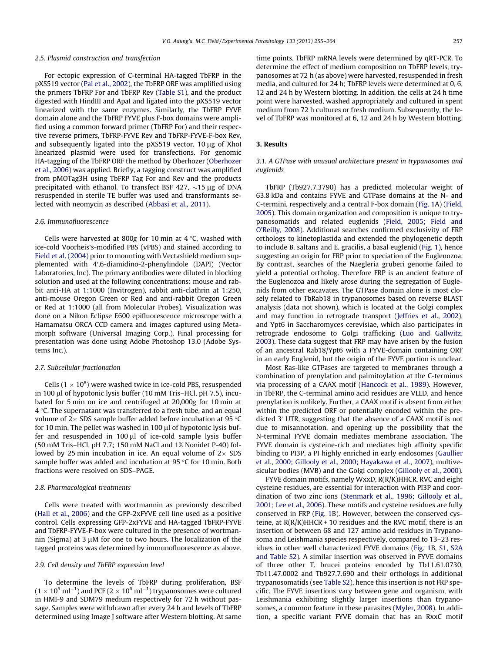#### 2.5. Plasmid construction and transfection

For ectopic expression of C-terminal HA-tagged TbFRP in the pXS519 vector ([Pal et al., 2002\)](#page-9-0), the TbFRP ORF was amplified using the primers TbFRP For and TbFRP Rev (Table S1), and the product digested with HindIII and ApaI and ligated into the pXS519 vector linearized with the same enzymes. Similarly, the TbFRP FYVE domain alone and the TbFRP FYVE plus F-box domains were amplified using a common forward primer (TbFRP For) and their respective reverse primers, TbFRP-FYVE Rev and TbFRP-FYVE-F-box Rev, and subsequently ligated into the  $pX5519$  vector. 10  $\mu$ g of XhoI linearized plasmid were used for transfections. For genomic HA-tagging of the TbFRP ORF the method by Oberhozer [\(Oberhozer](#page-9-0) [et al., 2006\)](#page-9-0) was applied. Briefly, a tagging construct was amplified from pMOTag3H using TbFRP Tag For and Rev and the products precipitated with ethanol. To transfect BSF 427,  $\sim$ 15 µg of DNA resuspended in sterile TE buffer was used and transformants selected with neomycin as described ([Abbasi et al., 2011\)](#page-8-0).

#### 2.6. Immunofluorescence

Cells were harvested at 800g for 10 min at 4  $\degree$ C, washed with ice-cold Voorheis's-modified PBS (vPBS) and stained according to [Field et al. \(2004\)](#page-8-0) prior to mounting with Vectashield medium supplemented with 4',6-diamidino-2-phenylindole (DAPI) (Vector Laboratories, Inc). The primary antibodies were diluted in blocking solution and used at the following concentrations: mouse and rabbit anti-HA at 1:1000 (Invitrogen), rabbit anti-clathrin at 1:250, anti-mouse Oregon Green or Red and anti-rabbit Oregon Green or Red at 1:1000 (all from Molecular Probes). Visualization was done on a Nikon Eclipse E600 epifluorescence microscope with a Hamamatsu ORCA CCD camera and images captured using Metamorph software (Universal Imaging Corp.). Final processing for presentation was done using Adobe Photoshop 13.0 (Adobe Systems Inc.).

#### 2.7. Subcellular fractionation

Cells  $(1 \times 10^8)$  were washed twice in ice-cold PBS, resuspended in 100 µl of hypotonic lysis buffer (10 mM Tris–HCl, pH 7.5), incubated for 5 min on ice and centrifuged at 20,000g for 10 min at  $4^{\circ}$ C. The supernatant was transferred to a fresh tube, and an equal volume of  $2 \times$  SDS sample buffer added before incubation at 95 °C for 10 min. The pellet was washed in 100  $\mu$ l of hypotonic lysis buffer and resuspended in  $100 \mu l$  of ice-cold sample lysis buffer (50 mM Tris–HCl, pH 7.7; 150 mM NaCl and 1% Nonidet P-40) followed by 25 min incubation in ice. An equal volume of  $2 \times$  SDS sample buffer was added and incubation at 95  $\degree$ C for 10 min. Both fractions were resolved on SDS–PAGE.

#### 2.8. Pharmacological treatments

Cells were treated with wortmannin as previously described ([Hall et al., 2006](#page-8-0)) and the GFP-2xFYVE cell line used as a positive control. Cells expressing GFP-2xFYVE and HA-tagged TbFRP-FYVE and TbFRP-FYVE-F-box were cultured in the presence of wortmannin (Sigma) at 3  $\mu$ M for one to two hours. The localization of the tagged proteins was determined by immunofluorescence as above.

#### 2.9. Cell density and TbFRP expression level

To determine the levels of TbFRP during proliferation, BSF  $(1\times 10^5\,\mathrm{m l^{-1}})$  and PCF (2  $\times$   $10^6\,\mathrm{m l^{-1}})$  trypanosomes were cultured in HMI-9 and SDM79 medium respectively for 72 h without passage. Samples were withdrawn after every 24 h and levels of TbFRP determined using Image J software after Western blotting. At same time points, TbFRP mRNA levels were determined by qRT-PCR. To determine the effect of medium composition on TbFRP levels, trypanosomes at 72 h (as above) were harvested, resuspended in fresh media, and cultured for 24 h; TbFRP levels were determined at 0, 6, 12 and 24 h by Western blotting. In addition, the cells at 24 h time point were harvested, washed appropriately and cultured in spent medium from 72 h cultures or fresh medium. Subsequently, the level of TbFRP was monitored at 6, 12 and 24 h by Western blotting.

## 3. Results

## 3.1. A GTPase with unusual architecture present in trypanosomes and euglenids

TbFRP (Tb927.7.3790) has a predicted molecular weight of 63.8 kDa and contains FYVE and GTPase domains at the N- and C-termini, respectively and a central F-box domain ([Fig. 1A](#page-3-0)) [\(Field,](#page-8-0) [2005](#page-8-0)). This domain organization and composition is unique to trypanosomatids and related euglenids [\(Field, 2005; Field and](#page-8-0) [O'Reilly, 2008\)](#page-8-0). Additional searches confirmed exclusivity of FRP orthologs to kinetoplastida and extended the phylogenetic depth to include B. saltans and E. gracilis, a basal euglenid ([Fig. 1](#page-3-0)), hence suggesting an origin for FRP prior to speciation of the Euglenozoa. By contrast, searches of the Naegleria gruberi genome failed to yield a potential ortholog. Therefore FRP is an ancient feature of the Euglenozoa and likely arose during the segregation of Euglenids from other excavates. The GTPase domain alone is most closely related to TbRab18 in trypanosomes based on reverse BLAST analysis (data not shown), which is located at the Golgi complex and may function in retrograde transport ([Jeffries et al., 2002\)](#page-8-0), and Ypt6 in Saccharomyces cerevisiae, which also participates in retrograde endosome to Golgi trafficking [\(Luo and Gallwitz,](#page-8-0) [2003](#page-8-0)). These data suggest that FRP may have arisen by the fusion of an ancestral Rab18/Ypt6 with a FYVE-domain containing ORF in an early Euglenid, but the origin of the FYVE portion is unclear.

Most Ras-like GTPases are targeted to membranes through a combination of prenylation and palmitoylation at the C-terminus via processing of a CAAX motif [\(Hancock et al., 1989](#page-8-0)). However, in TbFRP, the C-terminal amino acid residues are VLLD, and hence prenylation is unlikely. Further, a CAAX motif is absent from either within the predicted ORF or potentially encoded within the predicted 3' UTR, suggesting that the absence of a CAAX motif is not due to misannotation, and opening up the possibility that the N-terminal FYVE domain mediates membrane association. The FYVE domain is cysteine-rich and mediates high affinity specific binding to PI3P, a PI highly enriched in early endosomes ([Gaullier](#page-8-0) [et al., 2000; Gillooly et al., 2000; Hayakawa et al., 2007\)](#page-8-0), multivesicular bodies (MVB) and the Golgi complex [\(Gillooly et al., 2000\)](#page-8-0).

FYVE domain motifs, namely WxxD, R(R/K)HHCR, RVC and eight cysteine residues, are essential for interaction with PI3P and coordination of two zinc ions [\(Stenmark et al., 1996; Gillooly et al.,](#page-9-0) [2001; Lee et al., 2006](#page-9-0)). These motifs and cysteine residues are fully conserved in FRP ([Fig. 1B](#page-3-0)). However, between the conserved cysteine, at  $R(R/K)$ HHCR + 10 residues and the RVC motif, there is an insertion of between 68 and 127 amino acid residues in Trypanosoma and Leishmania species respectively, compared to 13–23 residues in other well characterized FYVE domains [\(Fig. 1](#page-3-0)B, S1, S2A and Table S2). A similar insertion was observed in FYVE domains of three other T. brucei proteins encoded by Tb11.61.0730, Tb11.47.0002 and Tb927.7.690 and their orthologs in additional trypanosomatids (see Table S2), hence this insertion is not FRP specific. The FYVE insertions vary between gene and organism, with Leishmania exhibiting slightly larger insertions than trypanosomes, a common feature in these parasites ([Myler, 2008](#page-8-0)). In addition, a specific variant FYVE domain that has an RxxC motif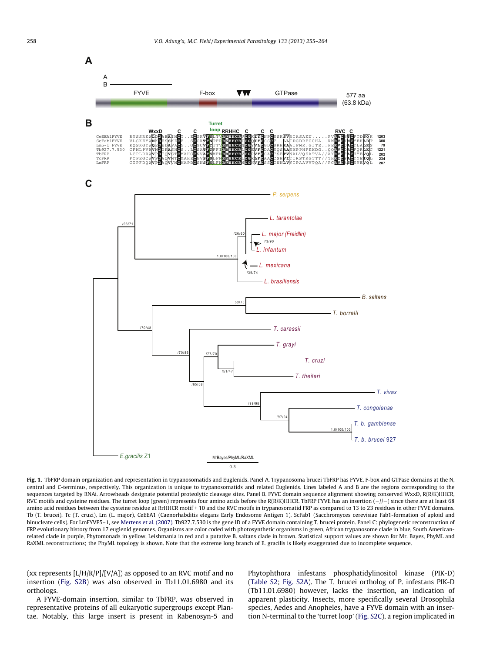<span id="page-3-0"></span>

Fig. 1. TbFRP domain organization and representation in trypanosomatids and Euglenids. Panel A. Trypanosoma brucei TbFRP has FYVE, F-box and GTPase domains at the N, central and C-terminus, respectively. This organization is unique to trypanosomatids and related Euglenids. Lines labeled A and B are the regions corresponding to the sequences targeted by RNAi. Arrowheads designate potential proteolytic cleavage sites. Panel B. FYVE domain sequence alignment showing conserved WxxD, R(R/K)HHCR, RVC motifs and cysteine residues. The turret loop (green) represents four amino acids before the R(R/K)HHCR. TbFRP FYVE has an insertion (–//– ) since there are at least 68  $\,$ amino acid residues between the cysteine residue at RrHHCR motif + 10 and the RVC motifs in trypanosomatid FRP as compared to 13 to 23 residues in other FYVE domains. Tb (T. brucei), Tc (T. cruzi), Lm (L. major), CeEEA1 (Caenorhabditis elegans Early Endosome Antigen 1), ScFab1 (Sacchromyces cerevisiae Fab1-formation of aploid and binucleate cells). For LmFYVE5–1, see [Mertens et al. \(2007\).](#page-8-0) Tb927.7.530 is the gene ID of a FYVE domain containing T. brucei protein. Panel C: phylogenetic reconstruction of FRP evolutionary history from 17 euglenid genomes. Organisms are color coded with photosynthetic organisms in green, African trypanosome clade in blue, South Americanrelated clade in purple, Phytomonads in yellow, Leishmania in red and a putative B. saltans clade in brown. Statistical support values are shown for Mr. Bayes, PhyML and RaXML reconstructions; the PhyML topology is shown. Note that the extreme long branch of E. gracilis is likely exaggerated due to incomplete sequence.

(xx represents  $[L/H/R/P]/[V/A]$ ) as opposed to an RVC motif and no insertion (Fig. S2B) was also observed in Tb11.01.6980 and its orthologs.

A FYVE-domain insertion, similar to TbFRP, was observed in representative proteins of all eukaryotic supergroups except Plantae. Notably, this large insert is present in Rabenosyn-5 and Phytophthora infestans phosphatidylinositol kinase (PIK-D) (Table S2; Fig. S2A). The T. brucei ortholog of P. infestans PIK-D (Tb11.01.6980) however, lacks the insertion, an indication of apparent plasticity. Insects, more specifically several Drosophila species, Aedes and Anopheles, have a FYVE domain with an insertion N-terminal to the 'turret loop' (Fig. S2C), a region implicated in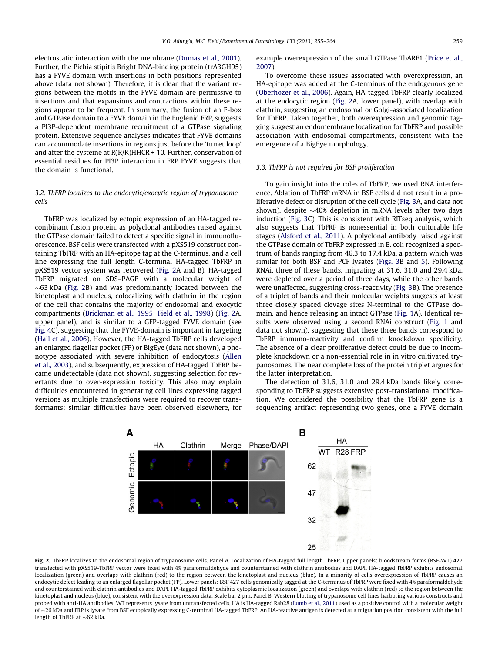<span id="page-4-0"></span>electrostatic interaction with the membrane [\(Dumas et al., 2001\)](#page-8-0). Further, the Pichia stipitis Bright DNA-binding protein (trA3GH95) has a FYVE domain with insertions in both positions represented above (data not shown). Therefore, it is clear that the variant regions between the motifs in the FYVE domain are permissive to insertions and that expansions and contractions within these regions appear to be frequent. In summary, the fusion of an F-box and GTPase domain to a FYVE domain in the Euglenid FRP, suggests a PI3P-dependent membrane recruitment of a GTPase signaling protein. Extensive sequence analyses indicates that FYVE domains can accommodate insertions in regions just before the 'turret loop' and after the cysteine at  $R(R/K)$ HHCR + 10. Further, conservation of essential residues for PI3P interaction in FRP FYVE suggests that the domain is functional.

## 3.2. TbFRP localizes to the endocytic/exocytic region of trypanosome cells

TbFRP was localized by ectopic expression of an HA-tagged recombinant fusion protein, as polyclonal antibodies raised against the GTPase domain failed to detect a specific signal in immunofluorescence. BSF cells were transfected with a pXS519 construct containing TbFRP with an HA-epitope tag at the C-terminus, and a cell line expressing the full length C-terminal HA-tagged TbFRP in pXS519 vector system was recovered (Fig. 2A and B). HA-tagged TbFRP migrated on SDS–PAGE with a molecular weight of  $\sim$  63 kDa (Fig. 2B) and was predominantly located between the kinetoplast and nucleus, colocalizing with clathrin in the region of the cell that contains the majority of endosomal and exocytic compartments ([Brickman et al., 1995; Field et al., 1998](#page-8-0)) (Fig. 2A, upper panel), and is similar to a GFP-tagged FYVE domain (see [Fig. 4](#page-5-0)C), suggesting that the FYVE-domain is important in targeting ([Hall et al., 2006\)](#page-8-0). However, the HA-tagged TbFRP cells developed an enlarged flagellar pocket (FP) or BigEye (data not shown), a phenotype associated with severe inhibition of endocytosis [\(Allen](#page-8-0) [et al., 2003\)](#page-8-0), and subsequently, expression of HA-tagged TbFRP became undetectable (data not shown), suggesting selection for revertants due to over-expression toxicity. This also may explain difficulties encountered in generating cell lines expressing tagged versions as multiple transfections were required to recover transformants; similar difficulties have been observed elsewhere, for example overexpression of the small GTPase TbARF1 [\(Price et al.,](#page-9-0) [2007](#page-9-0)).

To overcome these issues associated with overexpression, an HA-epitope was added at the C-terminus of the endogenous gene ([Oberhozer et al., 2006\)](#page-9-0). Again, HA-tagged TbFRP clearly localized at the endocytic region (Fig. 2A, lower panel), with overlap with clathrin, suggesting an endosomal or Golgi-associated localization for TbFRP. Taken together, both overexpression and genomic tagging suggest an endomembrane localization for TbFRP and possible association with endosomal compartments, consistent with the emergence of a BigEye morphology.

#### 3.3. TbFRP is not required for BSF proliferation

To gain insight into the roles of TbFRP, we used RNA interference. Ablation of TbFRP mRNA in BSF cells did not result in a proliferative defect or disruption of the cell cycle [\(Fig. 3](#page-5-0)A, and data not shown), despite  $\sim$ 40% depletion in mRNA levels after two days induction ([Fig. 3](#page-5-0)C). This is consistent with RITseq analysis, which also suggests that TbFRP is nonessential in both culturable life stages [\(Alsford et al., 2011](#page-8-0)). A polyclonal antibody raised against the GTPase domain of TbFRP expressed in E. coli recognized a spectrum of bands ranging from 46.3 to 17.4 kDa, a pattern which was similar for both BSF and PCF lysates ([Figs. 3B](#page-5-0) and [5\)](#page-6-0). Following RNAi, three of these bands, migrating at 31.6, 31.0 and 29.4 kDa, were depleted over a period of three days, while the other bands were unaffected, suggesting cross-reactivity ([Fig. 3](#page-5-0)B). The presence of a triplet of bands and their molecular weights suggests at least three closely spaced clevage sites N-terminal to the GTPase domain, and hence releasing an intact GTPase ([Fig. 1](#page-3-0)A). Identical results were observed using a second RNAi construct ([Fig. 1](#page-3-0) and data not shown), suggesting that these three bands correspond to TbFRP immuno-reactivity and confirm knockdown specificity. The absence of a clear proliferative defect could be due to incomplete knockdown or a non-essential role in in vitro cultivated trypanosomes. The near complete loss of the protein triplet argues for the latter interpretation.

The detection of 31.6, 31.0 and 29.4 kDa bands likely corresponding to TbFRP suggests extensive post-translational modification. We considered the possibility that the TbFRP gene is a sequencing artifact representing two genes, one a FYVE domain

B HA Clathrin Merge Phase/DAPI **WT** Ectopic 62 enomic 47 32 25

Fig. 2. TbFRP localizes to the endosomal region of trypanosome cells. Panel A. Localization of HA-tagged full length TbFRP. Upper panels: bloodstream forms (BSF-WT) 427 transfected with pXS519-TbFRP vector were fixed with 4% paraformaldehyde and counterstained with clathrin antibodies and DAPI. HA-tagged TbFRP exhibits endosomal localization (green) and overlaps with clathrin (red) to the region between the kinetoplast and nucleus (blue). In a minority of cells overexpression of TbFRP causes an endocytic defect leading to an enlarged flagellar pocket (FP). Lower panels: BSF 427 cells genomically tagged at the C-terminus of TbFRP were fixed with 4% paraformaldehyde and counterstained with clathrin antibodies and DAPI. HA-tagged TbFRP exhibits cytoplasmic localization (green) and overlaps with clathrin (red) to the region between the kinetoplast and nucleus (blue), consistent with the overexpression data. Scale bar 2 µm. Panel B. Western blotting of trypanosome cell lines harboring various constructs and probed with anti-HA antibodies. WT represents lysate from untransfected cells, HA is HA-tagged Rab28 [\(Lumb et al., 2011\)](#page-8-0) used as a positive control with a molecular weight of 26 kDa and FRP is lysate from BSF ectopically expressing C-terminal HA-tagged TbFRP. An HA-reactive antigen is detected at a migration position consistent with the full length of TbFRP at  ${\sim}62$  kDa.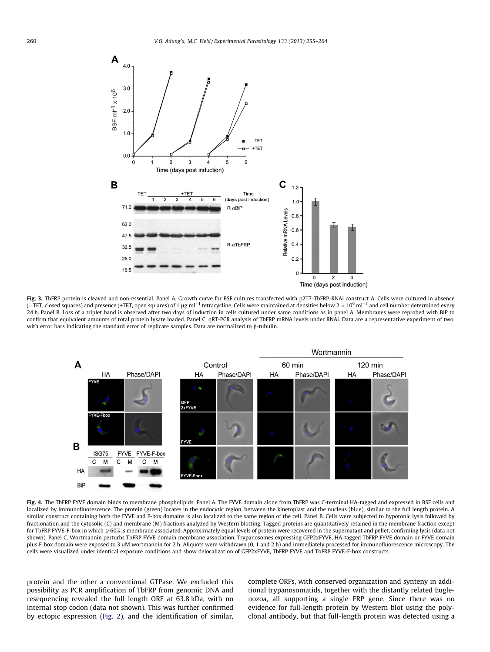<span id="page-5-0"></span>

Fig. 3. TbFRP protein is cleaved and non-essential. Panel A. Growth curve for BSF cultures transfected with p2T7-TbFRP-RNAi construct A. Cells were cultured in absence (–TET, closed squares) and presence (+TET, open squares) of 1 µg ml $^{-1}$  tetracycline. Cells were maintained at densities below 2  $\times$  10<sup>6</sup> ml $^{-1}$  and cell number determined every 24 h. Panel B. Loss of a triplet band is observed after two days of induction in cells cultured under same conditions as in panel A. Membranes were reprobed with BiP to confirm that equivalent amounts of total protein lysate loaded. Panel C. qRT-PCR analysis of TbFRP mRNA levels under RNAi. Data are a representative experiment of two, with error bars indicating the standard error of replicate samples. Data are normalized to  $\beta$ -tubulin.



Fig. 4. The TbFRP FYVE domain binds to membrane phospholipids. Panel A. The FYVE domain alone from TbFRP was C-terminal HA-tagged and expressed in BSF cells and localized by immunofluorescence. The protein (green) locates in the endocytic region, between the kinetoplast and the nucleus (blue), similar to the full length protein. A similar construct containing both the FYVE and F-box domains is also localized to the same region of the cell. Panel B. Cells were subjected to hypotonic lysis followed by fractionation and the cytosolic (C) and membrane (M) fractions analyzed by Western blotting. Tagged proteins are quantitatively retained in the membrane fraction except for TbFRP FYVE-F-box in which  $\geqslant 60\%$  is membrane associated. Approximately equal levels of protein were recovered in the supernatant and pellet, confirming lysis (data not shown). Panel C. Wortmannin perturbs TbFRP FYVE domain membrane association. Trypanosomes expressing GFP2xFYVE, HA-tagged TbFRP FYVE domain or FYVE domain plus F-box domain were exposed to 3 lM wortmannin for 2 h. Aliquots were withdrawn (0, 1 and 2 h) and immediately processed for immunofluorescence microscopy. The cells were visualized under identical exposure conditions and show delocalization of GFP2xFYVE, TbFRP FYVE and TbFRP FYVE-F-box constructs.

protein and the other a conventional GTPase. We excluded this possibility as PCR amplification of TbFRP from genomic DNA and resequencing revealed the full length ORF at 63.8 kDa, with no internal stop codon (data not shown). This was further confirmed by ectopic expression ([Fig. 2\)](#page-4-0), and the identification of similar, complete ORFs, with conserved organization and synteny in additional trypanosomatids, together with the distantly related Euglenozoa, all supporting a single FRP gene. Since there was no evidence for full-length protein by Western blot using the polyclonal antibody, but that full-length protein was detected using a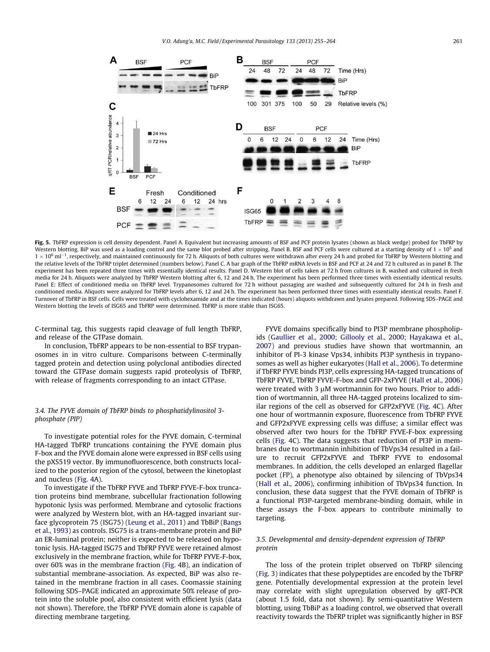<span id="page-6-0"></span>

Fig. 5. TbFRP expression is cell density dependent. Panel A. Equivalent but increasing amounts of BSF and PCF protein lysates (shown as black wedge) probed for TbFRP by Western blotting. BiP was used as a loading control and the same blot probed after stripping. Panel B. BSF and PCF cells were cultured at a starting density of  $1 \times 10^5$  and  $1 \times 10^6$  ml<sup>-1</sup>, respectively, and maintained continuously for 72 h. Aliquots of both cultures were withdrawn after every 24 h and probed for TbFRP by Western blotting and the relative levels of the TbFRP triplet determined (numbers below). Panel C. A bar graph of the TbFRP mRNA levels in BSF and PCF at 24 and 72 h cultured as in panel B. The experiment has been repeated three times with essentially identical results. Panel D. Western blot of cells taken at 72 h from cultures in B, washed and cultured in fresh media for 24 h. Aliquots were analyzed by TbFRP Western blotting after 6, 12 and 24 h. The experiment has been performed three times with essentially identical results. Panel E: Effect of conditioned media on TbFRP level. Trypanosomes cultured for 72 h without passaging are washed and subsequently cultured for 24 h in fresh and conditioned media. Aliquots were analyzed for TbFRP levels after 6, 12 and 24 h. The experiment has been performed three times with essentially identical results. Panel F. Turnover of TbFRP in BSF cells. Cells were treated with cyclohexamide and at the times indicated (hours) aliquots withdrawn and lysates prepared. Following SDS–PAGE and Western blotting the levels of ISG65 and TbFRP were determined. TbFRP is more stable than ISG65.

C-terminal tag, this suggests rapid cleavage of full length TbFRP, and release of the GTPase domain.

In conclusion, TbFRP appears to be non-essential to BSF trypanosomes in in vitro culture. Comparisons between C-terminally tagged protein and detection using polyclonal antibodies directed toward the GTPase domain suggests rapid proteolysis of TbFRP, with release of fragments corresponding to an intact GTPase.

## 3.4. The FYVE domain of TbFRP binds to phosphatidylinositol 3 phosphate (PIP)

To investigate potential roles for the FYVE domain, C-terminal HA-tagged TbFRP truncations containing the FYVE domain plus F-box and the FYVE domain alone were expressed in BSF cells using the pXS519 vector. By immunofluorescence, both constructs localized to the posterior region of the cytosol, between the kinetoplast and nucleus [\(Fig. 4](#page-5-0)A).

To investigate if the TbFRP FYVE and TbFRP FYVE-F-box truncation proteins bind membrane, subcellular fractionation following hypotonic lysis was performed. Membrane and cytosolic fractions were analyzed by Western blot, with an HA-tagged invariant surface glycoprotein 75 (ISG75) ([Leung et al., 2011\)](#page-8-0) and TbBiP [\(Bangs](#page-8-0) [et al., 1993](#page-8-0)) as controls. ISG75 is a trans-membrane protein and BiP an ER-luminal protein; neither is expected to be released on hypotonic lysis. HA-tagged ISG75 and TbFRP FYVE were retained almost exclusively in the membrane fraction, while for TbFRP FYVE-F-box, over 60% was in the membrane fraction ([Fig. 4](#page-5-0)B), an indication of substantial membrane-association. As expected, BiP was also retained in the membrane fraction in all cases. Coomassie staining following SDS–PAGE indicated an approximate 50% release of protein into the soluble pool, also consistent with efficient lysis (data not shown). Therefore, the TbFRP FYVE domain alone is capable of directing membrane targeting.

FYVE domains specifically bind to PI3P membrane phospholipids [\(Gaullier et al., 2000; Gillooly et al., 2000; Hayakawa et al.,](#page-8-0) [2007](#page-8-0)) and previous studies have shown that wortmannin, an inhibitor of PI-3 kinase Vps34, inhibits PI3P synthesis in trypanosomes as well as higher eukaryotes ([Hall et al., 2006\)](#page-8-0). To determine if TbFRP FYVE binds PI3P, cells expressing HA-tagged truncations of TbFRP FYVE, TbFRP FYVE-F-box and GFP-2xFYVE [\(Hall et al., 2006\)](#page-8-0) were treated with 3  $\mu$ M wortmannin for two hours. Prior to addition of wortmannin, all three HA-tagged proteins localized to similar regions of the cell as observed for GFP2xFYVE [\(Fig. 4C](#page-5-0)). After one hour of wortmannin exposure, fluorescence from TbFRP FYVE and GFP2xFYVE expressing cells was diffuse; a similar effect was observed after two hours for the TbFRP FYVE-F-box expressing cells ([Fig. 4C](#page-5-0)). The data suggests that reduction of PI3P in membranes due to wortmannin inhibition of TbVps34 resulted in a failure to recruit GFP2xFYVE and TbFRP FYVE to endosomal membranes. In addition, the cells developed an enlarged flagellar pocket (FP), a phenotype also obtained by silencing of TbVps34 ([Hall et al., 2006](#page-8-0)), confirming inhibition of TbVps34 function. In conclusion, these data suggest that the FYVE domain of TbFRP is a functional PI3P-targeted membrane-binding domain, while in these assays the F-box appears to contribute minimally to targeting.

## 3.5. Developmental and density-dependent expression of TbFRP protein

The loss of the protein triplet observed on TbFRP silencing ([Fig. 3](#page-5-0)) indicates that these polypeptides are encoded by the TbFRP gene. Potentially developmental expression at the protein level may correlate with slight upregulation observed by qRT-PCR (about 1.5 fold, data not shown). By semi-quantitative Western blotting, using TbBiP as a loading control, we observed that overall reactivity towards the TbFRP triplet was significantly higher in BSF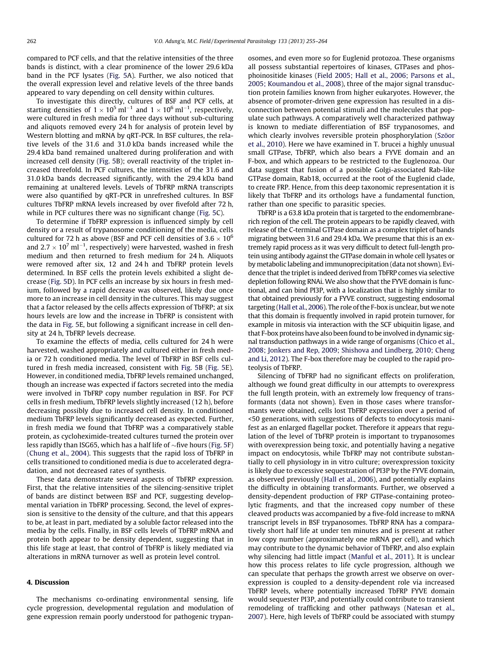compared to PCF cells, and that the relative intensities of the three bands is distinct, with a clear prominence of the lower 29.6 kDa band in the PCF lysates [\(Fig. 5A](#page-6-0)). Further, we also noticed that the overall expression level and relative levels of the three bands appeared to vary depending on cell density within cultures.

To investigate this directly, cultures of BSF and PCF cells, at starting densities of  $1 \times 10^5\,\rm m l^{-1}$  and  $1 \times 10^6\,\rm m l^{-1}$ , respectively, were cultured in fresh media for three days without sub-culturing and aliquots removed every 24 h for analysis of protein level by Western blotting and mRNA by qRT-PCR. In BSF cultures, the relative levels of the 31.6 and 31.0 kDa bands increased while the 29.4 kDa band remained unaltered during proliferation and with increased cell density ([Fig. 5](#page-6-0)B); overall reactivity of the triplet increased threefold. In PCF cultures, the intensities of the 31.6 and 31.0 kDa bands decreased significantly, with the 29.4 kDa band remaining at unaltered levels. Levels of TbFRP mRNA transcripts were also quantified by qRT-PCR in unrefreshed cultures. In BSF cultures TbFRP mRNA levels increased by over fivefold after 72 h, while in PCF cultures there was no significant change ([Fig. 5C](#page-6-0)).

To determine if TbFRP expression is influenced simply by cell density or a result of trypanosome conditioning of the media, cells cultured for 72 h as above (BSF and PCF cell densities of  $3.6 \times 10^6$ and 2.7  $\times$  10<sup>7</sup> ml $^{-1}$ , respectively) were harvested, washed in fresh medium and then returned to fresh medium for 24 h. Aliquots were removed after six, 12 and 24 h and TbFRP protein levels determined. In BSF cells the protein levels exhibited a slight decrease ([Fig. 5D](#page-6-0)). In PCF cells an increase by six hours in fresh medium, followed by a rapid decrease was observed, likely due once more to an increase in cell density in the cultures. This may suggest that a factor released by the cells affects expression of TbFRP; at six hours levels are low and the increase in TbFRP is consistent with the data in [Fig. 5E](#page-6-0), but following a significant increase in cell density at 24 h, TbFRP levels decrease.

To examine the effects of media, cells cultured for 24 h were harvested, washed appropriately and cultured either in fresh media or 72 h conditioned media. The level of TbFRP in BSF cells cultured in fresh media increased, consistent with [Fig. 5B](#page-6-0) [\(Fig. 5](#page-6-0)E). However, in conditioned media, TbFRP levels remained unchanged, though an increase was expected if factors secreted into the media were involved in TbFRP copy number regulation in BSF. For PCF cells in fresh medium, TbFRP levels slightly increased (12 h), before decreasing possibly due to increased cell density. In conditioned medium TbFRP levels significantly decreased as expected. Further, in fresh media we found that TbFRP was a comparatively stable protein, as cycloheximide-treated cultures turned the protein over less rapidly than ISG65, which has a half life of  $\sim$  five hours ([Fig. 5F](#page-6-0)) ([Chung et al., 2004](#page-8-0)). This suggests that the rapid loss of TbFRP in cells transitioned to conditioned media is due to accelerated degradation, and not decreased rates of synthesis.

These data demonstrate several aspects of TbFRP expression. First, that the relative intensities of the silencing-sensitive triplet of bands are distinct between BSF and PCF, suggesting developmental variation in TbFRP processing. Second, the level of expression is sensitive to the density of the culture, and that this appears to be, at least in part, mediated by a soluble factor released into the media by the cells. Finally, in BSF cells levels of TbFRP mRNA and protein both appear to be density dependent, suggesting that in this life stage at least, that control of TbFRP is likely mediated via alterations in mRNA turnover as well as protein level control.

### 4. Discussion

The mechanisms co-ordinating environmental sensing, life cycle progression, developmental regulation and modulation of gene expression remain poorly understood for pathogenic trypanosomes, and even more so for Euglenid protozoa. These organisms all possess substantial repertoires of kinases, GTPases and phosphoinositide kinases ([Field 2005; Hall et al., 2006; Parsons et al.,](#page-8-0) [2005; Koumandou et al., 2008\)](#page-8-0), three of the major signal transduction protein families known from higher eukaryotes. However, the absence of promoter-driven gene expression has resulted in a disconnection between potential stimuli and the molecules that populate such pathways. A comparatively well characterized pathway is known to mediate differentiation of BSF trypanosomes, and which clearly involves reversible protein phosphorylation ([Szöor](#page-9-0) [et al., 2010](#page-9-0)). Here we have examined in T. brucei a highly unusual small GTPase, TbFRP, which also bears a FYVE domain and an F-box, and which appears to be restricted to the Euglenozoa. Our data suggest that fusion of a possible Golgi-associated Rab-like GTPase domain, Rab18, occurred at the root of the Euglenid clade, to create FRP. Hence, from this deep taxonomic representation it is likely that TbFRP and its orthologs have a fundamental function, rather than one specific to parasitic species.

TbFRP is a 63.8 kDa protein that is targeted to the endomembranerich region of the cell. The protein appears to be rapidly cleaved, with release of the C-terminal GTPase domain as a complex triplet of bands migrating between 31.6 and 29.4 kDa. We presume that this is an extremely rapid process as it was very difficult to detect full-length protein using antibody against the GTPase domain in whole cell lysates or by metabolic labeling and immunoprecipitation (data not shown). Evidence that the triplet is indeed derived from TbFRP comes via selective depletion following RNAi. We also show that the FYVE domain is functional, and can bind PI3P, with a localization that is highly similar to that obtained previously for a FYVE construct, suggesting endosomal targeting ([Hall et al., 2006\)](#page-8-0). The role of the F-box is unclear, but we note that this domain is frequently involved in rapid protein turnover, for example in mitosis via interaction with the SCF ubiquitin ligase, and that F-box proteins have also been found to be involved in dynamic signal transduction pathways in a wide range of organisms [\(Chico et al.,](#page-8-0) [2008; Jonkers and Rep, 2009; Shishova and Lindberg, 2010; Cheng](#page-8-0) [and Li, 2012](#page-8-0)). The F-box therefore may be coupled to the rapid proteolysis of TbFRP.

Silencing of TbFRP had no significant effects on proliferation, although we found great difficulty in our attempts to overexpress the full length protein, with an extremely low frequency of transformants (data not shown). Even in those cases where transformants were obtained, cells lost TbFRP expression over a period of <50 generations, with suggestions of defects to endocytosis manifest as an enlarged flagellar pocket. Therefore it appears that regulation of the level of TbFRP protein is important to trypanosomes with overexpression being toxic, and potentially having a negative impact on endocytosis, while TbFRP may not contribute substantially to cell physiology in in vitro culture; overexpression toxicity is likely due to excessive sequestration of PI3P by the FYVE domain, as observed previously [\(Hall et al., 2006\)](#page-8-0), and potentially explains the difficulty in obtaining transformants. Further, we observed a density-dependent production of FRP GTPase-containing proteolytic fragments, and that the increased copy number of these cleaved products was accompanied by a five-fold increase to mRNA transcript levels in BSF trypanosomes. TbFRP RNA has a comparatively short half life at under ten minutes and is present at rather low copy number (approximately one mRNA per cell), and which may contribute to the dynamic behavior of TbFRP, and also explain why silencing had little impact ([Manful et al., 2011](#page-8-0)). It is unclear how this process relates to life cycle progression, although we can speculate that perhaps the growth arrest we observe on overexpression is coupled to a density-dependent role via increased TbFRP levels, where potentially increased TbFRP FYVE domain would sequester PI3P, and potentially could contribute to transient remodeling of trafficking and other pathways [\(Natesan et al.,](#page-9-0) [2007\)](#page-9-0). Here, high levels of TbFRP could be associated with stumpy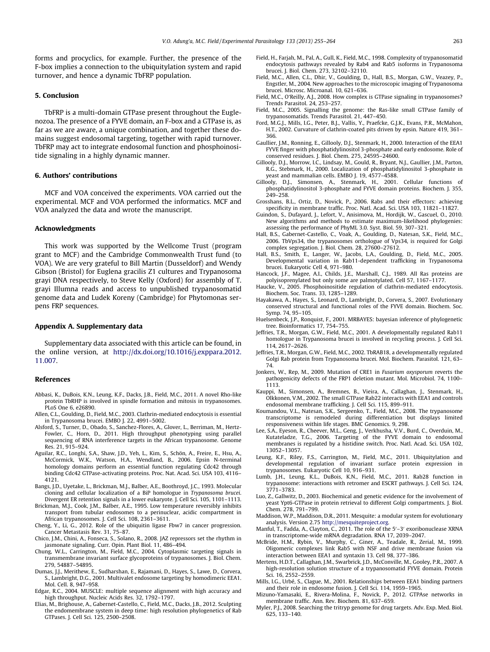<span id="page-8-0"></span>forms and procyclics, for example. Further, the presence of the F-box implies a connection to the ubiquitylation system and rapid turnover, and hence a dynamic TbFRP population.

#### 5. Conclusion

TbFRP is a multi-domain GTPase present throughout the Euglenozoa. The presence of a FYVE domain, an F-box and a GTPase is, as far as we are aware, a unique combination, and together these domains suggest endosomal targeting, together with rapid turnover. TbFRP may act to integrate endosomal function and phosphoinositide signaling in a highly dynamic manner.

#### 6. Authors' contributions

MCF and VOA conceived the experiments. VOA carried out the experimental. MCF and VOA performed the informatics. MCF and VOA analyzed the data and wrote the manuscript.

#### Acknowledgments

This work was supported by the Wellcome Trust (program grant to MCF) and the Cambridge Commonwealth Trust fund (to VOA). We are very grateful to Bill Martin (Dusseldorf) and Wendy Gibson (Bristol) for Euglena gracilis Z1 cultures and Trypanosoma grayi DNA respectively, to Steve Kelly (Oxford) for assembly of T. grayi Illumna reads and access to unpublished trypanosomatid genome data and Ludek Koreny (Cambridge) for Phytomonas serpens FRP sequences.

#### Appendix A. Supplementary data

Supplementary data associated with this article can be found, in the online version, at [http://dx.doi.org/10.1016/j.exppara.2012.](http://dx.doi.org/10.1016/j.exppara.2012.11.007) [11.007](http://dx.doi.org/10.1016/j.exppara.2012.11.007).

#### References

- Abbasi, K., DuBois, K.N., Leung, K.F., Dacks, J.B., Field, M.C., 2011. A novel Rho-like protein TbRHP is involved in spindle formation and mitosis in trypanosomes. PLoS One 6, e26890.
- Allen, C.L., Goulding, D., Field, M.C., 2003. Clathrin-mediated endocytosis is essential in Trypanosoma brucei. EMBO J. 22, 4991–5002.
- Alsford, S., Turner, D., Obado, S., Sanchez-Flores, A., Glover, L., Berriman, M., Hertz-Fowler, C., Horn, D., 2011. High throughput phenotyping using parallel sequencing of RNA interference targets in the African trypanosome. Genome Res. 21, 915–924.
- Aguilar, R.C., Longhi, S.A., Shaw, J.D., Yeh, L., Kim, S., Schön, A., Freire, E., Hsu, A., McCormick, W.K., Watson, H.A., Wendland, B., 2006. Epsin N-terminal homology domains perform an essential function regulating Cdc42 through binding Cdc42 GTPase-activating proteins. Proc. Nat. Acad. Sci. USA 103, 4116– 4121.
- Bangs, J.D., Uyetake, L., Brickman, M.J., Balber, A.E., Boothroyd, J.C., 1993. Molecular cloning and cellular localization of a BiP homologue in Trypanosoma brucei. Divergent ER retention signals in a lower eukaryote. J. Cell Sci. 105, 1101–1113.
- Brickman, M.J., Cook, J.M., Balber, A.E., 1995. Low temperature reversibly inhibits transport from tubular endosomes to a perinuclear, acidic compartment in African trypanosomes. J. Cell Sci. 108, 2361–3611.
- Cheng, Y., Li, G., 2012. Role of the ubiquitin ligase Fbw7 in cancer progression. Cancer Metastasis Rev. 31, 75–87.
- Chico, J.M., Chini, A., Fonseca, S., Solano, R., 2008. JAZ repressors set the rhythm in jasmonate signaling. Curr. Opin. Plant Biol. 11, 486–494.
- Chung, W.L., Carrington, M., Field, M.C., 2004. Cytoplasmic targeting signals in transmembrane invariant surface glycoproteins of trypanosomes. J. Biol. Chem. 279, 54887–54895.
- Dumas, J.J., Merithew, E., Sudharshan, E., Rajamani, D., Hayes, S., Lawe, D., Corvera, S., Lambright, D.G., 2001. Multivalet endosome targeting by homodimeric EEA1. Mol. Cell. 8, 947–958.
- Edgar, R.C., 2004. MUSCLE: multiple sequence alignment with high accuracy and high throughput. Nucleic Acids Res. 32, 1792–1797.
- Elias, M., Brighouse, A., Gabernet-Castello, C., Field, M.C., Dacks, J.B., 2012. Sculpting the endomembrane system in deep time: high resolution phylogenetics of Rab GTPases. J. Cell Sci. 125, 2500–2508.
- Field, H., Farjah, M., Pal, A., Gull, K., Field, M.C., 1998. Complexity of trypanosomatid endocytosis pathways revealed by Rab4 and Rab5 isoforms in Trypanosoma brucei. J. Biol. Chem. 273, 32102–32110.
- Field, M.C., Allen, C.L., Dhir, V., Goulding, D., Hall, B.S., Morgan, G.W., Veazey, P., Engstler, M., 2004. New approaches to the microscopic imaging of Trypanosoma brucei. Microsc. Microanal. 10, 621–636.
- Field, M.C., O'Reilly, A.J., 2008. How complex is GTPase signaling in trypanosomes? Trends Parasitol. 24, 253–257.
- Field, M.C., 2005. Signalling the genome: the Ras-like small GTPase family of trypanosomatids. Trends Parasitol. 21, 447–450.
- Ford, M.G.J., Mills, I.G., Peter, B.J., Vallis, Y., Praefcke, G.J.K., Evans, P.R., McMahon, H.T., 2002. Curvature of clathrin-coated pits driven by epsin. Nature 419, 361– 366.
- Gaullier, J.M., Ronning, E., Gillooly, D.J., Stenmark, H., 2000. Interaction of the EEA1 FYVE finger with phosphatidylinositol 3-phosphate and early endosome. Role of conserved residues. J. Biol. Chem. 275, 24595–24600.
- Gillooly, D.J., Morrow, I.C., Lindsay, M., Gould, R., Bryant, N.J., Gaullier, J.M., Parton, R.G., Stebmark, H., 2000. Localization of phosphatidylinositol 3-phosphate in yeast and mammalian cells. EMBO J. 19, 4577–4588.
- Gillooly, D.J., Simonsen, A., Stenmark, H., 2001. Cellular functions of phosphatidylinositol 3-phosphate and FYVE domain proteins. Biochem. J. 355, 249–258.
- Grosshans, B.L., Ortiz, D., Novick, P., 2006. Rabs and their effectors: achieving specificity in membrane traffic. Proc. Natl. Acad. Sci. USA 103, 11821–11827.
- Guindon, S., Dufayard, J., Lefort, V., Anisimova, M., Hordijk, W., Gascuel, O., 2010. New algorithms and methods to estimate maximum-likelihood phylogenies: assessing the performance of PhyML 3.0. Syst. Biol. 59, 307–321.
- Hall, B.S., Gabernet-Castello, C., Voak, A., Goulding, D., Natesan, S.K., Field, M.C., 2006. TbVps34, the trypanosomes orthologue of Vps34, is required for Golgi complex segregation. J. Biol. Chem. 28, 27600–27612.
- Hall, B.S., Smith, E., Langer, W., Jacobs, L.A., Goulding, D., Field, M.C., 2005. Developmental variation in Rab11-dependent trafficking in Trypanosoma brucei. Eukaryotic Cell 4, 971–980.
- Hancock, J.F., Magee, A.I., Childs, J.E., Marshall, C.J., 1989. All Ras proteins are polyisoprenylated but only some are palmotylated. Cell 57, 1167–1177.
- Haucke, V., 2005. Phosphoinositide regulation of clathrin-mediated endocytosis. Biochem. Soc. Trans. 33, 1285–1289.
- Hayakawa, A., Hayes, S., Leonard, D., Lambright, D., Corvera, S., 2007. Evolutionary conserved structural and functional roles of the FYVE domain. Biochem. Soc. Symp. 74, 95–105.
- Huelsenbeck, J.P., Ronquist, F., 2001. MRBAYES: bayesian inference of phylogenetic tree. Bioinformatics 17, 754–755.
- Jeffries, T.R., Morgan, G.W., Field, M.C., 2001. A developmentally regulated Rab11 homologue in Trypanosoma brucei is involved in recycling process. J. Cell Sci. 114, 2617–2626.
- Jeffries, T.R., Morgan, G.W., Field, M.C., 2002. TbRAB18, a developmentally regulated Golgi Rab protein from Trypanosoma brucei. Mol. Biochem. Parasitol. 121, 63– 74.
- Jonkers, W., Rep, M., 2009. Mutation of CRE1 in Fusarium oxysporum reverts the pathogenicity defects of the FRP1 deletion mutant. Mol. Microbiol. 74, 1100– 1113.
- Kauppi, M., Simonsen, A., Bremnes, B., Vieira, A., Callaghan, J., Stenmark, H., Olkkonen, V.M., 2002. The small GTPase Rab22 interacts with EEA1 and controls endosomal membrane trafficking. J. Cell Sci. 115, 899–911.
- Koumandou, V.L., Natesan, S.K., Sergeenko, T., Field, M.C., 2008. The trypanosome transcriptome is remodeled during differentiation but displays limited responsiveness within life stages. BMC Genomics. 9, 298.
- Lee, S.A., Eyeson, R., Cheever, M.L., Geng, J., Verkhusha, V.V., Burd, C., Overduin, M., Kutateladze, T.G., 2006. Targeting of the FYVE domain to endosomal membranes is regulated by a histidine switch. Proc. Natl. Acad. Sci. USA 102, 13052–13057.
- Leung, K.F., Riley, F.S., Carrington, M., Field, M.C., 2011. Ubiquitylation and developmental regulation of invariant surface protein expression in trypanosomes. Eukaryotic Cell 10, 916–931.
- Lumb, J.H., Leung, K.L., DuBois, K.N., Field, M.C., 2011. Rab28 function in trypanosome: interactions with retromer and ESCRT pathways. J. Cell Sci. 124, 3771–3783.
- Luo, Z., Gallwitz, D., 2003. Biochemical and genetic evidence for the involvement of yeast Ypt6-GTPase in protein retrieval to different Golgi compartments. J. Biol. Chem. 278, 791–799.
- Maddison, W.P., Maddison, D.R., 2011. Mesquite: a modular system for evolutionary analysis. Version 2.75 [http://mesquiteproject.org.](http://mesquiteproject.org)
- Manful, T., Fadda, A., Clayton, C., 2011. The role of the 5'-3' exoribonuclease XRNA in transcriptome-wide mRNA degradation. RNA 17, 2039–2047.
- McBride, H.M., Rybin, V., Murphy, C., Giner, A., Teadale, R., Zerial, M., 1999. Oligomeric complexes link Rab5 with NSF and drive membrane fusion via interaction between EEA1 and syntaxin 13. Cell 98, 377–386.
- Mertens, H.D.T., Callaghan, J.M., Swarbrick, J.D., McConville, M., Gooley, P.R., 2007. A high-resolution solution structure of a trypanosomatid FYVE domain. Protein Sci. 16, 2552–2559.
- Mills, I.G., Urbé, S., Clague, M., 2001. Relationships between EEA1 binding partners and their role in endosome fusion. J. Cell Sci. 114, 1959–1965.
- Mizuno-Yamasaki, E., Rivera-Molina, F., Novick, P., 2012. GTPAse networks in membrane traffic. Ann. Rev. Biochem. 81, 637–659.
- Myler, P.J., 2008. Searching the tritryp genome for drug targets. Adv. Exp. Med. Biol. 625, 133–140.